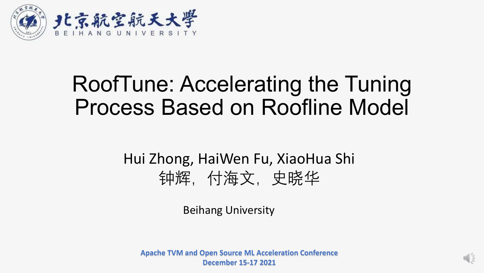

## RoofTune: Accelerating the Tuning Process Based on Roofline Model

#### Hui Zhong, HaiWen Fu, XiaoHua Shi 钟辉,付海文,史晓华

Beihang University

**Apache TVM and Open Source ML Acceleration Conference December 15-17 2021**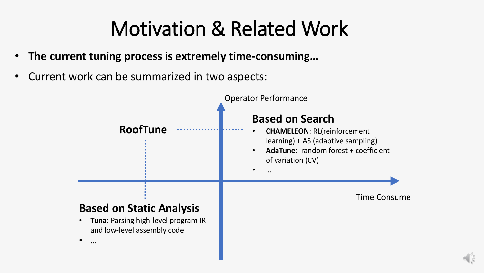# Motivation & Related Work

- **The current tuning process is extremely time-consuming…**
- Current work can be summarized in two aspects:

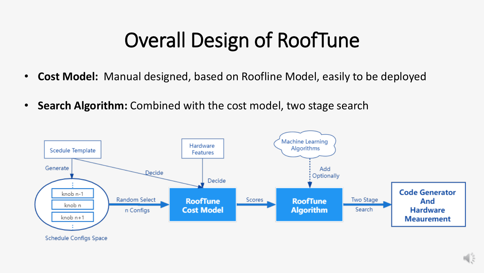# Overall Design of RoofTune

- **Cost Model:** Manual designed, based on Roofline Model, easily to be deployed
- **Search Algorithm:** Combined with the cost model, two stage search

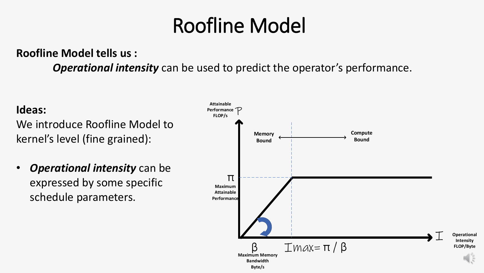# Roofline Model

#### **Roofline Model tells us :**

*Operational intensity* can be used to predict the operator's performance.

#### **Ideas:**

We introduce Roofline Model to kernel's level (fine grained):

• *Operational intensity* can be expressed by some specific schedule parameters.

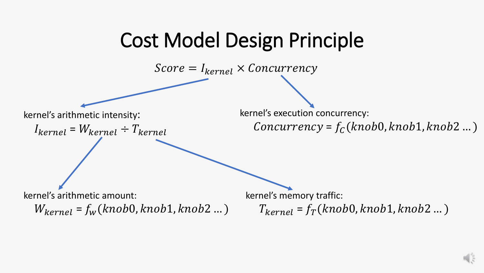#### Cost Model Design Principle

 $Score = I_{kernel} \times Concurrency$ 

kernel's arithmetic intensity:

$$
I_{kernel} = W_{kernel} \div T_{kernel}
$$

kernel's execution concurrency:

 $Concurrency = f_c(knob0, knob1, knob2 ...)$ 

kernel's arithmetic amount:

 $W_{\text{kernel}} = f_w(\text{knob0}, \text{knob1}, \text{knob2} ... )$ 

kernel's memory traffic:

 $T_{\text{kernel}} = f_T(\text{knob0}, \text{knob1}, \text{knob2} ...)$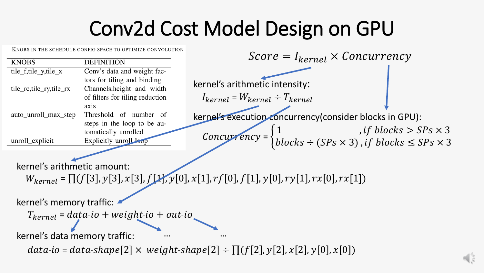## Conv2d Cost Model Design on GPU

KNOBS IN THE SCHEDULE CONFIG SPACE TO OPTIMIZE CONVOLUTION

|                         |                                 | $Score = I_{kernel} \times Concurrency$                                                                                |
|-------------------------|---------------------------------|------------------------------------------------------------------------------------------------------------------------|
| <b>KNOBS</b>            | <b>DEFINITION</b>               |                                                                                                                        |
| tile_f,tile_y,tile_x    | Conv's data and weight fac-     |                                                                                                                        |
|                         | tors for tiling and binding     | kernel's arithmetic intensity:                                                                                         |
| tile_rc,tile_ry,tile_rx | Channels, height and width      |                                                                                                                        |
|                         | of filters for tiling reduction | $I_{kernel} = W_{kernel} \div T_{kernel}$                                                                              |
|                         | axis                            |                                                                                                                        |
| auto_unroll_max_step    | Threshold of number of          | kernel's execution concurrency (consider blocks in GPU):                                                               |
|                         | steps in the loop to be au-     |                                                                                                                        |
|                         | tomatically unrolled            |                                                                                                                        |
| unroll_explicit         | Explicitly unroll leop          | Concurrency = $\begin{cases} 1 & , , ,\dots \\ blocks \div (SPs \times 3) & , if blocks \leq SPs \times ? \end{cases}$ |
|                         |                                 |                                                                                                                        |

kernel's arithmetic amount:

 $W_{\text{kernel}} = \Pi(f[3], y[3], x[3], f[1], y[0], x[1], rf[0], f[1], y[0], ry[1], rx[0], rx[1])$ 

kernel's memory traffic:

 $T_{\text{kernel}} = data \cdot io + weight \cdot io + out \cdot io$ 

kernel's data memory traffic:

 $data$ io =  $data$ -shape $[2] \times weight$ -shape $[2] \div \Pi(f[2], y[2], x[2], y[0], x[0])$ 

… … … …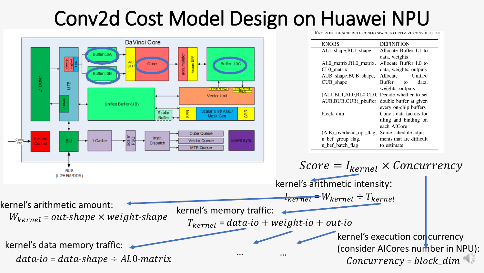## Conv2d Cost Model Design on Huawei NPU

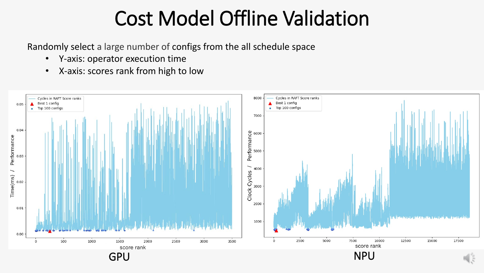## Cost Model Offline Validation

Randomly select a large number of configs from the all schedule space

- Y-axis: operator execution time
- X-axis: scores rank from high to low

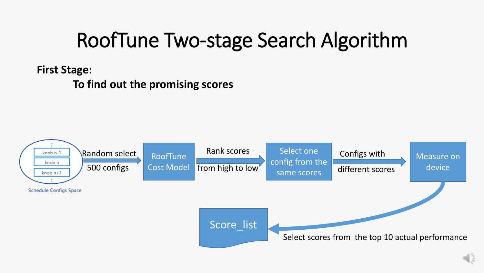# RoofTune Two-stage Search Algorithm

**First Stage:** 

**To find out the promising scores**

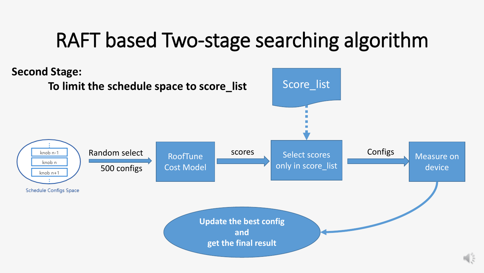## RAFT based Two-stage searching algorithm

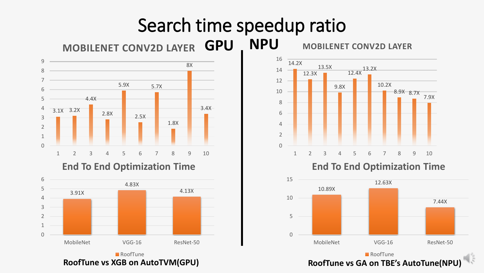#### Search time speedup ratio

**MOBILENET CONV2D LAYER GPU** 



**End To End Optimization Time**





**GPU NPU MOBILENET CONV2D LAYER**

**End To End Optimization Time**

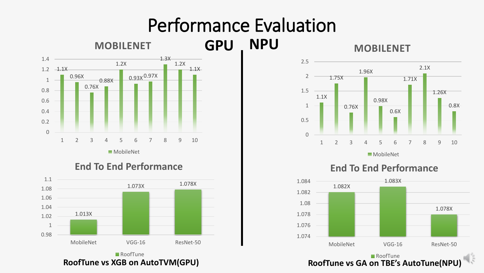#### Performance Evaluation



RoofTune







■ RoofTune **RoofTune vs XGB on AutoTVM(GPU) RoofTune vs GA on TBE's AutoTune(NPU)**